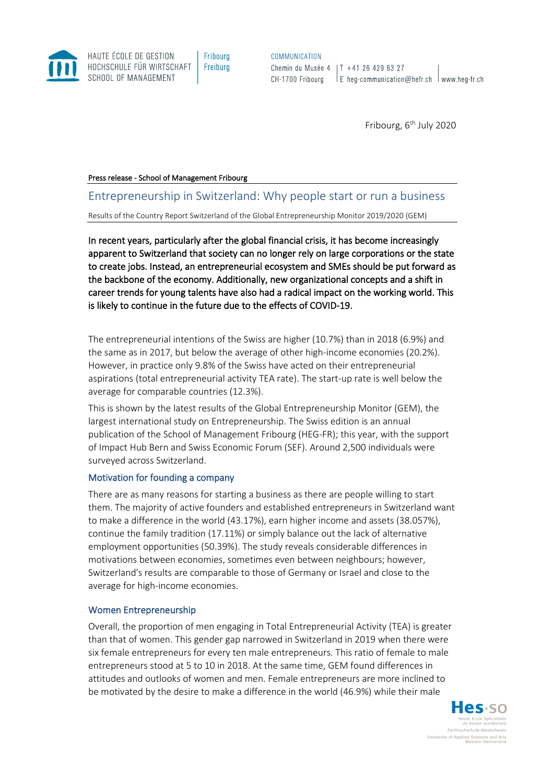**COMMUNICATION** 

Chemin du Musée 4 | T +41 26 429 63 27  $\vert$  E heg-communication@hefr.ch  $\vert$  www.heg-fr.ch CH-1700 Fribourg

Fribourg,  $6<sup>th</sup>$  July 2020

#### Press release - School of Management Fribourg

HAUTE ÉCOLE DE GESTION

SCHOOL OF MANAGEMENT

HOCHSCHULE FÜR WIRTSCHAFT

# Entrepreneurship in Switzerland: Why people start or run a business

Results of the Country Report Switzerland of the Global Entrepreneurship Monitor 2019/2020 (GEM)

Fribourg

Freiburg

In recent years, particularly after the global financial crisis, it has become increasingly apparent to Switzerland that society can no longer rely on large corporations or the state to create jobs. Instead, an entrepreneurial ecosystem and SMEs should be put forward as the backbone of the economy. Additionally, new organizational concepts and a shift in career trends for young talents have also had a radical impact on the working world. This is likely to continue in the future due to the effects of COVID-19.

The entrepreneurial intentions of the Swiss are higher (10.7%) than in 2018 (6.9%) and the same as in 2017, but below the average of other high-income economies (20.2%). However, in practice only 9.8% of the Swiss have acted on their entrepreneurial aspirations (total entrepreneurial activity TEA rate). The start-up rate is well below the average for comparable countries (12.3%).

This is shown by the latest results of the Global Entrepreneurship Monitor (GEM), the largest international study on Entrepreneurship. The Swiss edition is an annual publication of the School of Management Fribourg (HEG-FR); this year, with the support of Impact Hub Bern and Swiss Economic Forum (SEF). Around 2,500 individuals were surveyed across Switzerland.

### Motivation for founding a company

There are as many reasons for starting a business as there are people willing to start them. The majority of active founders and established entrepreneurs in Switzerland want to make a difference in the world (43.17%), earn higher income and assets (38.057%), continue the family tradition (17.11%) or simply balance out the lack of alternative employment opportunities (50.39%). The study reveals considerable differences in motivations between economies, sometimes even between neighbours; however, Switzerland's results are comparable to those of Germany or Israel and close to the average for high-income economies.

### Women Entrepreneurship

Overall, the proportion of men engaging in Total Entrepreneurial Activity (TEA) is greater than that of women. This gender gap narrowed in Switzerland in 2019 when there were six female entrepreneurs for every ten male entrepreneurs. This ratio of female to male entrepreneurs stood at 5 to 10 in 2018. At the same time, GEM found differences in attitudes and outlooks of women and men. Female entrepreneurs are more inclined to be motivated by the desire to make a difference in the world (46.9%) while their male

> les.so Eachhochschule Westschweit University of Applied Sciences and Arts<br>Western Switzerland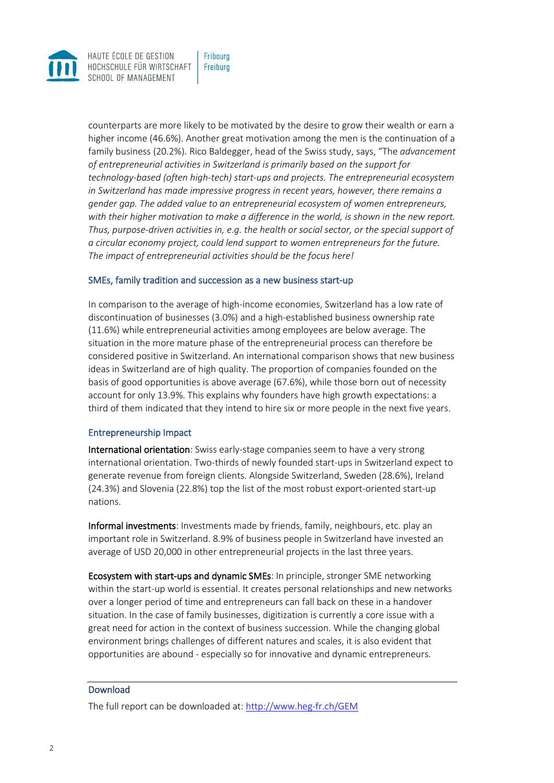

counterparts are more likely to be motivated by the desire to grow their wealth or earn a higher income (46.6%). Another great motivation among the men is the continuation of a family business (20.2%). Rico Baldegger, head of the Swiss study, says, "The *advancement of entrepreneurial activities in Switzerland is primarily based on the support for technology-based (often high-tech) start-ups and projects. The entrepreneurial ecosystem in Switzerland has made impressive progress in recent years, however, there remains a gender gap. The added value to an entrepreneurial ecosystem of women entrepreneurs, with their higher motivation to make a difference in the world, is shown in the new report. Thus, purpose-driven activities in, e.g. the health or social sector, or the special support of a circular economy project, could lend support to women entrepreneurs for the future. The impact of entrepreneurial activities should be the focus here!*

## SMEs, family tradition and succession as a new business start-up

In comparison to the average of high-income economies, Switzerland has a low rate of discontinuation of businesses (3.0%) and a high-established business ownership rate (11.6%) while entrepreneurial activities among employees are below average. The situation in the more mature phase of the entrepreneurial process can therefore be considered positive in Switzerland. An international comparison shows that new business ideas in Switzerland are of high quality. The proportion of companies founded on the basis of good opportunities is above average (67.6%), while those born out of necessity account for only 13.9%. This explains why founders have high growth expectations: a third of them indicated that they intend to hire six or more people in the next five years.

### Entrepreneurship Impact

International orientation: Swiss early-stage companies seem to have a very strong international orientation. Two-thirds of newly founded start-ups in Switzerland expect to generate revenue from foreign clients. Alongside Switzerland, Sweden (28.6%), Ireland (24.3%) and Slovenia (22.8%) top the list of the most robust export-oriented start-up nations.

Informal investments: Investments made by friends, family, neighbours, etc. play an important role in Switzerland. 8.9% of business people in Switzerland have invested an average of USD 20,000 in other entrepreneurial projects in the last three years.

Ecosystem with start-ups and dynamic SMEs: In principle, stronger SME networking within the start-up world is essential. It creates personal relationships and new networks over a longer period of time and entrepreneurs can fall back on these in a handover situation. In the case of family businesses, digitization is currently a core issue with a great need for action in the context of business succession. While the changing global environment brings challenges of different natures and scales, it is also evident that opportunities are abound - especially so for innovative and dynamic entrepreneurs.

## Download

The full report can be downloaded at:<http://www.heg-fr.ch/GEM>